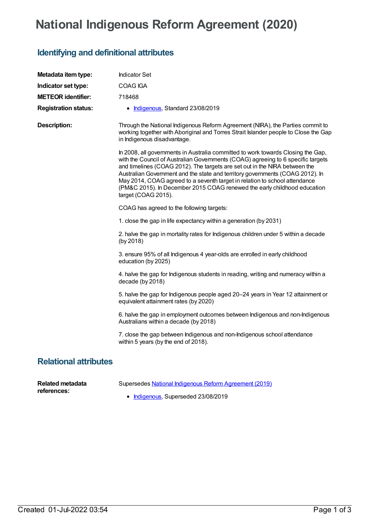## **National Indigenous Reform Agreement (2020)**

## **Identifying and definitional attributes**

| Metadata item type:          | <b>Indicator Set</b>                                                                                                                                                                                                                                                                                                                                                                                                                                                                                                 |
|------------------------------|----------------------------------------------------------------------------------------------------------------------------------------------------------------------------------------------------------------------------------------------------------------------------------------------------------------------------------------------------------------------------------------------------------------------------------------------------------------------------------------------------------------------|
| Indicator set type:          | <b>COAG IGA</b>                                                                                                                                                                                                                                                                                                                                                                                                                                                                                                      |
| <b>METEOR identifier:</b>    | 718468                                                                                                                                                                                                                                                                                                                                                                                                                                                                                                               |
| <b>Registration status:</b>  | • Indigenous, Standard 23/08/2019                                                                                                                                                                                                                                                                                                                                                                                                                                                                                    |
| <b>Description:</b>          | Through the National Indigenous Reform Agreement (NIRA), the Parties commit to<br>working together with Aboriginal and Torres Strait Islander people to Close the Gap<br>in Indigenous disadvantage.                                                                                                                                                                                                                                                                                                                 |
|                              | In 2008, all governments in Australia committed to work towards Closing the Gap,<br>with the Council of Australian Governments (COAG) agreeing to 6 specific targets<br>and timelines (COAG 2012). The targets are set out in the NIRA between the<br>Australian Government and the state and territory governments (COAG 2012). In<br>May 2014, COAG agreed to a seventh target in relation to school attendance<br>(PM&C 2015). In December 2015 COAG renewed the early childhood education<br>target (COAG 2015). |
|                              | COAG has agreed to the following targets:                                                                                                                                                                                                                                                                                                                                                                                                                                                                            |
|                              | 1. close the gap in life expectancy within a generation (by 2031)                                                                                                                                                                                                                                                                                                                                                                                                                                                    |
|                              | 2. halve the gap in mortality rates for Indigenous children under 5 within a decade<br>(by 2018)                                                                                                                                                                                                                                                                                                                                                                                                                     |
|                              | 3. ensure 95% of all Indigenous 4 year-olds are enrolled in early childhood<br>education (by 2025)                                                                                                                                                                                                                                                                                                                                                                                                                   |
|                              | 4. halve the gap for Indigenous students in reading, writing and numeracy within a<br>decade (by 2018)                                                                                                                                                                                                                                                                                                                                                                                                               |
|                              | 5. halve the gap for Indigenous people aged 20-24 years in Year 12 attainment or<br>equivalent attainment rates (by 2020)                                                                                                                                                                                                                                                                                                                                                                                            |
|                              | 6. halve the gap in employment outcomes between Indigenous and non-Indigenous<br>Australians within a decade (by 2018)                                                                                                                                                                                                                                                                                                                                                                                               |
|                              | 7. close the gap between Indigenous and non-Indigenous school attendance<br>within 5 years (by the end of 2018).                                                                                                                                                                                                                                                                                                                                                                                                     |
| <b>Relational attributes</b> |                                                                                                                                                                                                                                                                                                                                                                                                                                                                                                                      |

| Related metadata | Supersedes National Indigenous Reform Agreement (2019) |
|------------------|--------------------------------------------------------|
| references:      | • Indigenous, Superseded 23/08/2019                    |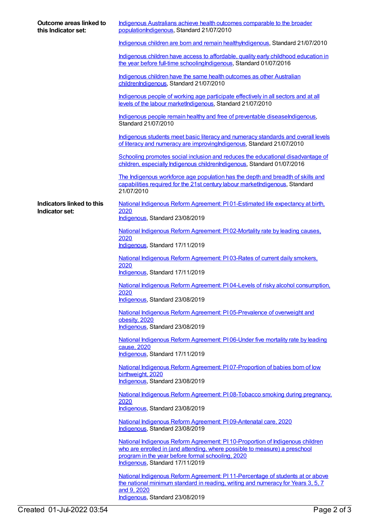| Outcome areas linked to<br>this Indicator set: | Indigenous Australians achieve health outcomes comparable to the broader<br>populationIndigenous, Standard 21/07/2010                                                                                                                               |
|------------------------------------------------|-----------------------------------------------------------------------------------------------------------------------------------------------------------------------------------------------------------------------------------------------------|
|                                                | Indigenous children are born and remain healthylndigenous, Standard 21/07/2010                                                                                                                                                                      |
|                                                | Indigenous children have access to affordable, quality early childhood education in<br>the year before full-time schooling Indigenous, Standard 01/07/2016                                                                                          |
|                                                | Indigenous children have the same health outcomes as other Australian<br>childrenIndigenous, Standard 21/07/2010                                                                                                                                    |
|                                                | Indigenous people of working age participate effectively in all sectors and at all<br>levels of the labour marketIndigenous, Standard 21/07/2010                                                                                                    |
|                                                | Indigenous people remain healthy and free of preventable diseaseIndigenous,<br>Standard 21/07/2010                                                                                                                                                  |
|                                                | Indigenous students meet basic literacy and numeracy standards and overall levels<br>of literacy and numeracy are improving Indigenous, Standard 21/07/2010                                                                                         |
|                                                | Schooling promotes social inclusion and reduces the educational disadvantage of<br>children, especially Indigenous childrenIndigenous, Standard 01/07/2016                                                                                          |
|                                                | The Indigenous workforce age population has the depth and breadth of skills and<br>capabilities required for the 21st century labour marketIndigenous, Standard<br>21/07/2010                                                                       |
| Indicators linked to this                      | National Indigenous Reform Agreement: P101-Estimated life expectancy at birth,                                                                                                                                                                      |
| Indicator set:                                 | 2020<br>Indigenous, Standard 23/08/2019                                                                                                                                                                                                             |
|                                                | National Indigenous Reform Agreement: PI 02-Mortality rate by leading causes,                                                                                                                                                                       |
|                                                | 2020<br>Indigenous, Standard 17/11/2019                                                                                                                                                                                                             |
|                                                | National Indigenous Reform Agreement: P103-Rates of current daily smokers,<br>2020<br>Indigenous, Standard 17/11/2019                                                                                                                               |
|                                                | National Indigenous Reform Agreement: PI04-Levels of risky alcohol consumption,                                                                                                                                                                     |
|                                                | 2020<br>Indigenous, Standard 23/08/2019                                                                                                                                                                                                             |
|                                                | National Indigenous Reform Agreement: P105-Prevalence of overweight and                                                                                                                                                                             |
|                                                | obesity, 2020<br>Indigenous, Standard 23/08/2019                                                                                                                                                                                                    |
|                                                | National Indigenous Reform Agreement: PI06-Under five mortality rate by leading<br>cause, 2020<br>Indigenous, Standard 17/11/2019                                                                                                                   |
|                                                | National Indigenous Reform Agreement: PI07-Proportion of babies born of low                                                                                                                                                                         |
|                                                | birthweight, 2020<br>Indigenous, Standard 23/08/2019                                                                                                                                                                                                |
|                                                | National Indigenous Reform Agreement: PI08-Tobacco smoking during pregnancy,<br>2020<br>Indigenous, Standard 23/08/2019                                                                                                                             |
|                                                | National Indigenous Reform Agreement: PI09-Antenatal care, 2020                                                                                                                                                                                     |
|                                                | Indigenous, Standard 23/08/2019                                                                                                                                                                                                                     |
|                                                | National Indigenous Reform Agreement: PI 10-Proportion of Indigenous children<br>who are enrolled in (and attending, where possible to measure) a preschool<br>program in the year before formal schooling, 2020<br>Indigenous, Standard 17/11/2019 |
|                                                | National Indigenous Reform Agreement: PI 11-Percentage of students at or above<br>the national minimum standard in reading, writing and numeracy for Years 3, 5, 7<br>and 9, 2020<br>Indigenous, Standard 23/08/2019                                |